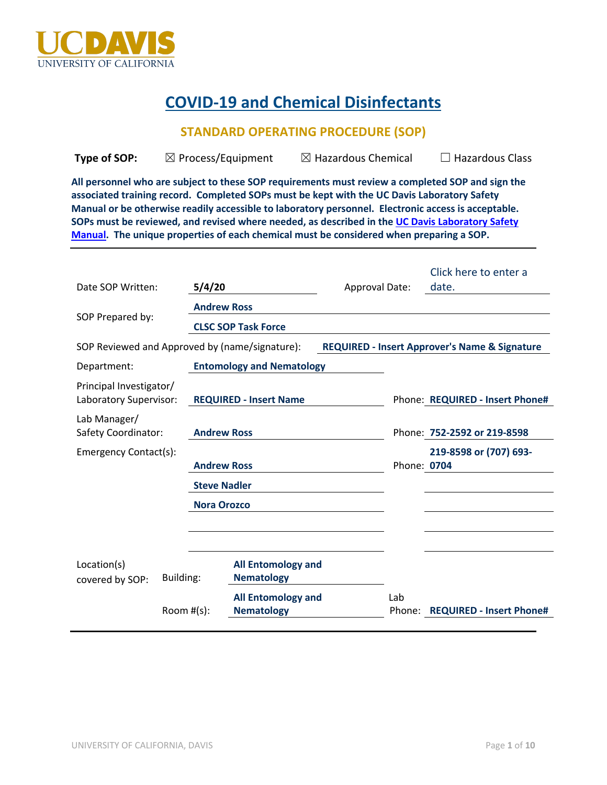

# **COVID-19 and Chemical Disinfectants**

## **STANDARD OPERATING PROCEDURE (SOP)**

| Type of SOP: | $\boxtimes$ Process/Equipment | $\boxtimes$ Hazardous Chemical | $\Box$ Hazardous Class |
|--------------|-------------------------------|--------------------------------|------------------------|
|              |                               |                                |                        |

**All personnel who are subject to these SOP requirements must review a completed SOP and sign the associated training record. Completed SOPs must be kept with the UC Davis Laboratory Safety Manual or be otherwise readily accessible to laboratory personnel. Electronic access is acceptable. SOPs must be reviewed, and revised where needed, as described in the UC Davis Laboratory Safety Manual. The unique properties of each chemical must be considered when preparing a SOP.**

| Date SOP Written:                                 | 5/4/20              |                                                | <b>Approval Date:</b> |               | Click here to enter a<br>date.                           |
|---------------------------------------------------|---------------------|------------------------------------------------|-----------------------|---------------|----------------------------------------------------------|
| SOP Prepared by:                                  | <b>Andrew Ross</b>  | <b>CLSC SOP Task Force</b>                     |                       |               |                                                          |
| SOP Reviewed and Approved by (name/signature):    |                     |                                                |                       |               | <b>REQUIRED - Insert Approver's Name &amp; Signature</b> |
| Department:                                       |                     | <b>Entomology and Nematology</b>               |                       |               |                                                          |
| Principal Investigator/<br>Laboratory Supervisor: |                     | <b>REQUIRED - Insert Name</b>                  |                       |               | Phone: REQUIRED - Insert Phone#                          |
| Lab Manager/<br>Safety Coordinator:               | <b>Andrew Ross</b>  |                                                |                       |               | Phone: 752-2592 or 219-8598                              |
| Emergency Contact(s):                             | <b>Andrew Ross</b>  |                                                |                       | Phone: 0704   | 219-8598 or (707) 693-                                   |
|                                                   | <b>Steve Nadler</b> |                                                |                       |               |                                                          |
| <b>Nora Orozco</b>                                |                     |                                                |                       |               |                                                          |
|                                                   |                     |                                                |                       |               |                                                          |
|                                                   |                     |                                                |                       |               |                                                          |
| Location(s)<br>Building:<br>covered by SOP:       |                     | <b>All Entomology and</b><br><b>Nematology</b> |                       |               |                                                          |
|                                                   | Room $#(s)$ :       | <b>All Entomology and</b><br><b>Nematology</b> |                       | Lab<br>Phone: | <b>REQUIRED - Insert Phone#</b>                          |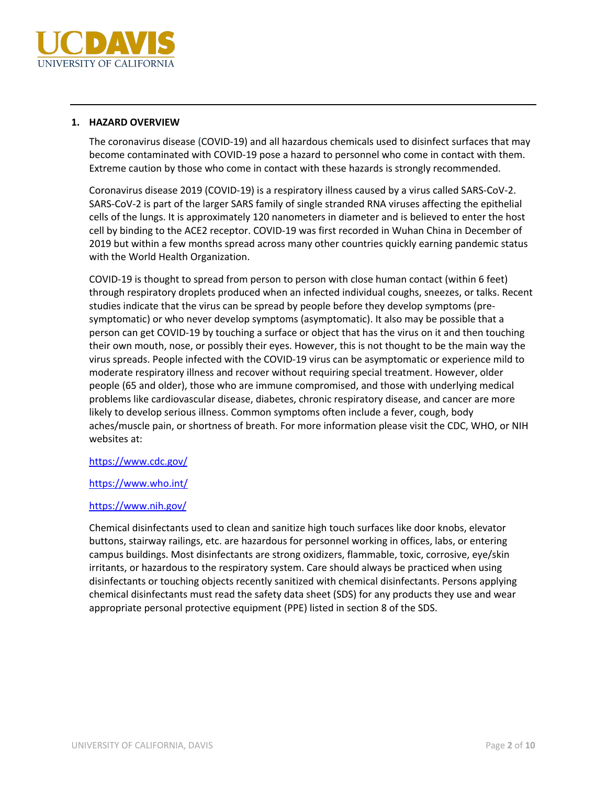

#### **1. HAZARD OVERVIEW**

The coronavirus disease (COVID-19) and all hazardous chemicals used to disinfect surfaces that may become contaminated with COVID-19 pose a hazard to personnel who come in contact with them. Extreme caution by those who come in contact with these hazards is strongly recommended.

Coronavirus disease 2019 (COVID-19) is a respiratory illness caused by a virus called SARS-CoV-2. SARS-CoV-2 is part of the larger SARS family of single stranded RNA viruses affecting the epithelial cells of the lungs. It is approximately 120 nanometers in diameter and is believed to enter the host cell by binding to the ACE2 receptor. COVID-19 was first recorded in Wuhan China in December of 2019 but within a few months spread across many other countries quickly earning pandemic status with the World Health Organization.

COVID-19 is thought to spread from person to person with close human contact (within 6 feet) through respiratory droplets produced when an infected individual coughs, sneezes, or talks. Recent studies indicate that the virus can be spread by people before they develop symptoms (presymptomatic) or who never develop symptoms (asymptomatic). It also may be possible that a person can get COVID-19 by touching a surface or object that has the virus on it and then touching their own mouth, nose, or possibly their eyes. However, this is not thought to be the main way the virus spreads. People infected with the COVID-19 virus can be asymptomatic or experience mild to moderate respiratory illness and recover without requiring special treatment. However, older people (65 and older), those who are immune compromised, and those with underlying medical problems like cardiovascular disease, diabetes, chronic respiratory disease, and cancer are more likely to develop serious illness. Common symptoms often include a fever, cough, body aches/muscle pain, or shortness of breath. For more information please visit the CDC, WHO, or NIH websites at:

#### https://www.cdc.gov/

#### https://www.who.int/

## https://www.nih.gov/

Chemical disinfectants used to clean and sanitize high touch surfaces like door knobs, elevator buttons, stairway railings, etc. are hazardous for personnel working in offices, labs, or entering campus buildings. Most disinfectants are strong oxidizers, flammable, toxic, corrosive, eye/skin irritants, or hazardous to the respiratory system. Care should always be practiced when using disinfectants or touching objects recently sanitized with chemical disinfectants. Persons applying chemical disinfectants must read the safety data sheet (SDS) for any products they use and wear appropriate personal protective equipment (PPE) listed in section 8 of the SDS.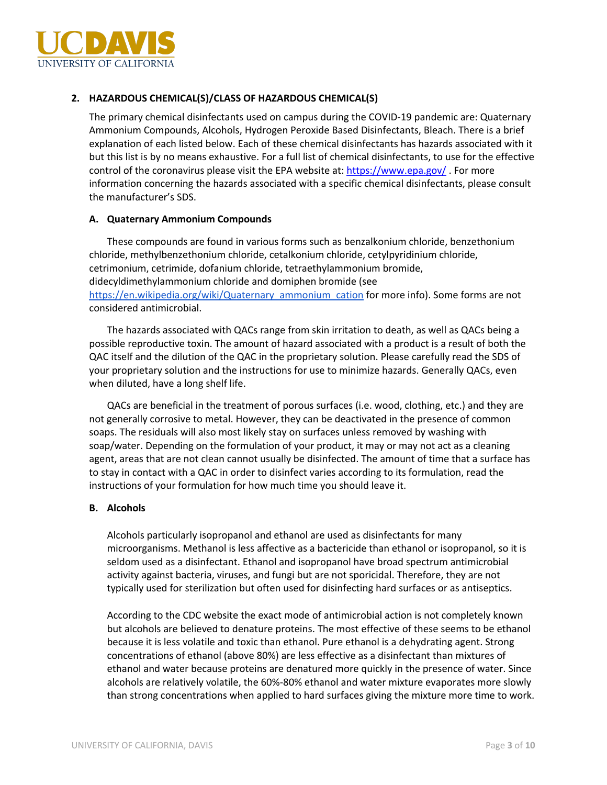

## **2. HAZARDOUS CHEMICAL(S)/CLASS OF HAZARDOUS CHEMICAL(S)**

The primary chemical disinfectants used on campus during the COVID-19 pandemic are: Quaternary Ammonium Compounds, Alcohols, Hydrogen Peroxide Based Disinfectants, Bleach. There is a brief explanation of each listed below. Each of these chemical disinfectants has hazards associated with it but this list is by no means exhaustive. For a full list of chemical disinfectants, to use for the effective control of the coronavirus please visit the EPA website at: https://www.epa.gov/. For more information concerning the hazards associated with a specific chemical disinfectants, please consult the manufacturer's SDS.

#### **A. Quaternary Ammonium Compounds**

These compounds are found in various forms such as benzalkonium chloride, benzethonium chloride, methylbenzethonium chloride, cetalkonium chloride, cetylpyridinium chloride, cetrimonium, cetrimide, dofanium chloride, tetraethylammonium bromide, didecyldimethylammonium chloride and domiphen bromide (see https://en.wikipedia.org/wiki/Quaternary\_ammonium\_cation for more info). Some forms are not considered antimicrobial.

The hazards associated with QACs range from skin irritation to death, as well as QACs being a possible reproductive toxin. The amount of hazard associated with a product is a result of both the QAC itself and the dilution of the QAC in the proprietary solution. Please carefully read the SDS of your proprietary solution and the instructions for use to minimize hazards. Generally QACs, even when diluted, have a long shelf life.

QACs are beneficial in the treatment of porous surfaces (i.e. wood, clothing, etc.) and they are not generally corrosive to metal. However, they can be deactivated in the presence of common soaps. The residuals will also most likely stay on surfaces unless removed by washing with soap/water. Depending on the formulation of your product, it may or may not act as a cleaning agent, areas that are not clean cannot usually be disinfected. The amount of time that a surface has to stay in contact with a QAC in order to disinfect varies according to its formulation, read the instructions of your formulation for how much time you should leave it.

#### **B. Alcohols**

Alcohols particularly isopropanol and ethanol are used as disinfectants for many microorganisms. Methanol is less affective as a bactericide than ethanol or isopropanol, so it is seldom used as a disinfectant. Ethanol and isopropanol have broad spectrum antimicrobial activity against bacteria, viruses, and fungi but are not sporicidal. Therefore, they are not typically used for sterilization but often used for disinfecting hard surfaces or as antiseptics.

According to the CDC website the exact mode of antimicrobial action is not completely known but alcohols are believed to denature proteins. The most effective of these seems to be ethanol because it is less volatile and toxic than ethanol. Pure ethanol is a dehydrating agent. Strong concentrations of ethanol (above 80%) are less effective as a disinfectant than mixtures of ethanol and water because proteins are denatured more quickly in the presence of water. Since alcohols are relatively volatile, the 60%-80% ethanol and water mixture evaporates more slowly than strong concentrations when applied to hard surfaces giving the mixture more time to work.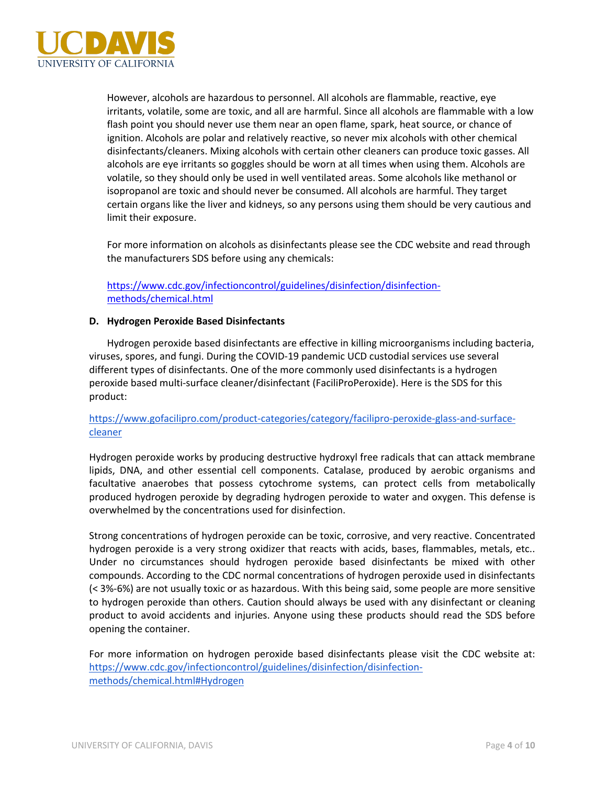

However, alcohols are hazardous to personnel. All alcohols are flammable, reactive, eye irritants, volatile, some are toxic, and all are harmful. Since all alcohols are flammable with a low flash point you should never use them near an open flame, spark, heat source, or chance of ignition. Alcohols are polar and relatively reactive, so never mix alcohols with other chemical disinfectants/cleaners. Mixing alcohols with certain other cleaners can produce toxic gasses. All alcohols are eye irritants so goggles should be worn at all times when using them. Alcohols are volatile, so they should only be used in well ventilated areas. Some alcohols like methanol or isopropanol are toxic and should never be consumed. All alcohols are harmful. They target certain organs like the liver and kidneys, so any persons using them should be very cautious and limit their exposure.

For more information on alcohols as disinfectants please see the CDC website and read through the manufacturers SDS before using any chemicals:

## https://www.cdc.gov/infectioncontrol/guidelines/disinfection/disinfectionmethods/chemical.html

#### **D. Hydrogen Peroxide Based Disinfectants**

Hydrogen peroxide based disinfectants are effective in killing microorganisms including bacteria, viruses, spores, and fungi. During the COVID-19 pandemic UCD custodial services use several different types of disinfectants. One of the more commonly used disinfectants is a hydrogen peroxide based multi-surface cleaner/disinfectant (FaciliProPeroxide). Here is the SDS for this product:

## https://www.gofacilipro.com/product-categories/category/facilipro-peroxide-glass-and-surfacecleaner

Hydrogen peroxide works by producing destructive hydroxyl free radicals that can attack membrane lipids, DNA, and other essential cell components. Catalase, produced by aerobic organisms and facultative anaerobes that possess cytochrome systems, can protect cells from metabolically produced hydrogen peroxide by degrading hydrogen peroxide to water and oxygen. This defense is overwhelmed by the concentrations used for disinfection.

Strong concentrations of hydrogen peroxide can be toxic, corrosive, and very reactive. Concentrated hydrogen peroxide is a very strong oxidizer that reacts with acids, bases, flammables, metals, etc.. Under no circumstances should hydrogen peroxide based disinfectants be mixed with other compounds. According to the CDC normal concentrations of hydrogen peroxide used in disinfectants (< 3%-6%) are not usually toxic or as hazardous. With this being said, some people are more sensitive to hydrogen peroxide than others. Caution should always be used with any disinfectant or cleaning product to avoid accidents and injuries. Anyone using these products should read the SDS before opening the container.

For more information on hydrogen peroxide based disinfectants please visit the CDC website at: https://www.cdc.gov/infectioncontrol/guidelines/disinfection/disinfectionmethods/chemical.html#Hydrogen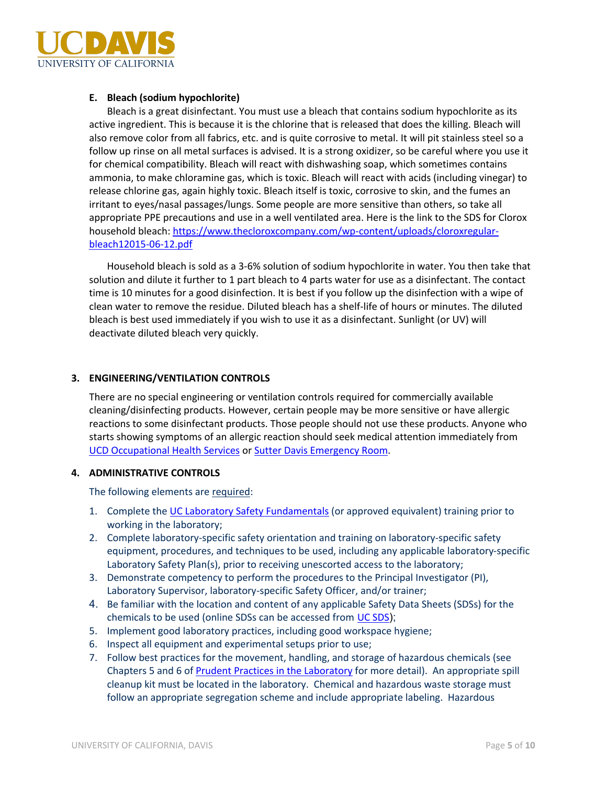

#### **E. Bleach (sodium hypochlorite)**

Bleach is a great disinfectant. You must use a bleach that contains sodium hypochlorite as its active ingredient. This is because it is the chlorine that is released that does the killing. Bleach will also remove color from all fabrics, etc. and is quite corrosive to metal. It will pit stainless steel so a follow up rinse on all metal surfaces is advised. It is a strong oxidizer, so be careful where you use it for chemical compatibility. Bleach will react with dishwashing soap, which sometimes contains ammonia, to make chloramine gas, which is toxic. Bleach will react with acids (including vinegar) to release chlorine gas, again highly toxic. Bleach itself is toxic, corrosive to skin, and the fumes an irritant to eyes/nasal passages/lungs. Some people are more sensitive than others, so take all appropriate PPE precautions and use in a well ventilated area. Here is the link to the SDS for Clorox household bleach: https://www.thecloroxcompany.com/wp-content/uploads/cloroxregularbleach12015-06-12.pdf

Household bleach is sold as a 3-6% solution of sodium hypochlorite in water. You then take that solution and dilute it further to 1 part bleach to 4 parts water for use as a disinfectant. The contact time is 10 minutes for a good disinfection. It is best if you follow up the disinfection with a wipe of clean water to remove the residue. Diluted bleach has a shelf-life of hours or minutes. The diluted bleach is best used immediately if you wish to use it as a disinfectant. Sunlight (or UV) will deactivate diluted bleach very quickly.

#### **3. ENGINEERING/VENTILATION CONTROLS**

There are no special engineering or ventilation controls required for commercially available cleaning/disinfecting products. However, certain people may be more sensitive or have allergic reactions to some disinfectant products. Those people should not use these products. Anyone who starts showing symptoms of an allergic reaction should seek medical attention immediately from UCD Occupational Health Services or Sutter Davis Emergency Room.

#### **4. ADMINISTRATIVE CONTROLS**

The following elements are required:

- 1. Complete the UC Laboratory Safety Fundamentals (or approved equivalent) training prior to working in the laboratory;
- 2. Complete laboratory-specific safety orientation and training on laboratory-specific safety equipment, procedures, and techniques to be used, including any applicable laboratory-specific Laboratory Safety Plan(s), prior to receiving unescorted access to the laboratory;
- 3. Demonstrate competency to perform the procedures to the Principal Investigator (PI), Laboratory Supervisor, laboratory-specific Safety Officer, and/or trainer;
- 4. Be familiar with the location and content of any applicable Safety Data Sheets (SDSs) for the chemicals to be used (online SDSs can be accessed from UC SDS);
- 5. Implement good laboratory practices, including good workspace hygiene;
- 6. Inspect all equipment and experimental setups prior to use;
- 7. Follow best practices for the movement, handling, and storage of hazardous chemicals (see Chapters 5 and 6 of Prudent Practices in the Laboratory for more detail). An appropriate spill cleanup kit must be located in the laboratory. Chemical and hazardous waste storage must follow an appropriate segregation scheme and include appropriate labeling. Hazardous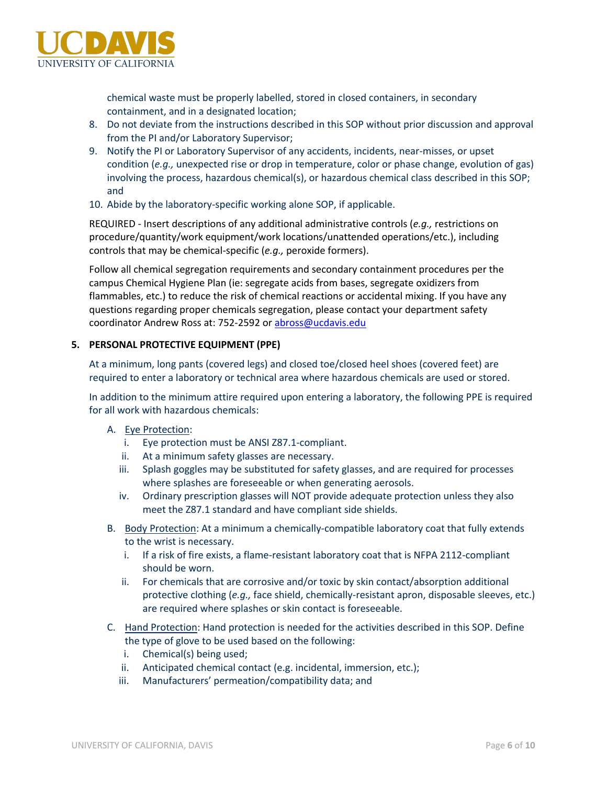

chemical waste must be properly labelled, stored in closed containers, in secondary containment, and in a designated location;

- 8. Do not deviate from the instructions described in this SOP without prior discussion and approval from the PI and/or Laboratory Supervisor;
- 9. Notify the PI or Laboratory Supervisor of any accidents, incidents, near-misses, or upset condition (*e.g.,* unexpected rise or drop in temperature, color or phase change, evolution of gas) involving the process, hazardous chemical(s), or hazardous chemical class described in this SOP; and
- 10. Abide by the laboratory-specific working alone SOP, if applicable.

REQUIRED - Insert descriptions of any additional administrative controls (*e.g.,* restrictions on procedure/quantity/work equipment/work locations/unattended operations/etc.), including controls that may be chemical-specific (*e.g.,* peroxide formers).

Follow all chemical segregation requirements and secondary containment procedures per the campus Chemical Hygiene Plan (ie: segregate acids from bases, segregate oxidizers from flammables, etc.) to reduce the risk of chemical reactions or accidental mixing. If you have any questions regarding proper chemicals segregation, please contact your department safety coordinator Andrew Ross at: 752-2592 or abross@ucdavis.edu

#### **5. PERSONAL PROTECTIVE EQUIPMENT (PPE)**

At a minimum, long pants (covered legs) and closed toe/closed heel shoes (covered feet) are required to enter a laboratory or technical area where hazardous chemicals are used or stored.

In addition to the minimum attire required upon entering a laboratory, the following PPE is required for all work with hazardous chemicals:

- A. Eye Protection:
	- i. Eye protection must be ANSI Z87.1-compliant.
	- ii. At a minimum safety glasses are necessary.
	- iii. Splash goggles may be substituted for safety glasses, and are required for processes where splashes are foreseeable or when generating aerosols.
	- iv. Ordinary prescription glasses will NOT provide adequate protection unless they also meet the Z87.1 standard and have compliant side shields.
- B. Body Protection: At a minimum a chemically-compatible laboratory coat that fully extends to the wrist is necessary.
	- i. If a risk of fire exists, a flame-resistant laboratory coat that is NFPA 2112-compliant should be worn.
	- ii. For chemicals that are corrosive and/or toxic by skin contact/absorption additional protective clothing (*e.g.,* face shield, chemically-resistant apron, disposable sleeves, etc.) are required where splashes or skin contact is foreseeable.
- C. Hand Protection: Hand protection is needed for the activities described in this SOP. Define the type of glove to be used based on the following:
	- i. Chemical(s) being used;
	- ii. Anticipated chemical contact (e.g. incidental, immersion, etc.);
	- iii. Manufacturers' permeation/compatibility data; and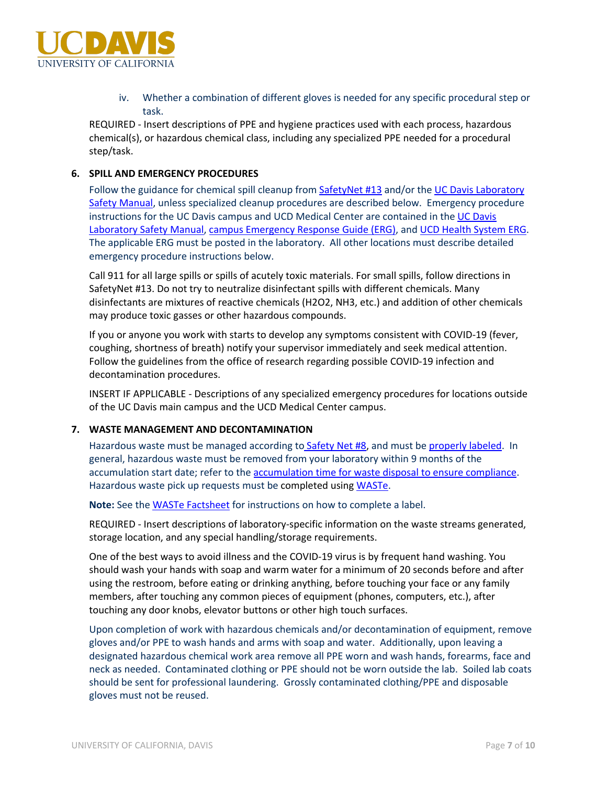

iv. Whether a combination of different gloves is needed for any specific procedural step or task.

REQUIRED - Insert descriptions of PPE and hygiene practices used with each process, hazardous chemical(s), or hazardous chemical class, including any specialized PPE needed for a procedural step/task.

#### **6. SPILL AND EMERGENCY PROCEDURES**

Follow the guidance for chemical spill cleanup from SafetyNet #13 and/or the UC Davis Laboratory Safety Manual, unless specialized cleanup procedures are described below. Emergency procedure instructions for the UC Davis campus and UCD Medical Center are contained in the UC Davis Laboratory Safety Manual, campus Emergency Response Guide (ERG), and UCD Health System ERG. The applicable ERG must be posted in the laboratory. All other locations must describe detailed emergency procedure instructions below.

Call 911 for all large spills or spills of acutely toxic materials. For small spills, follow directions in SafetyNet #13. Do not try to neutralize disinfectant spills with different chemicals. Many disinfectants are mixtures of reactive chemicals (H2O2, NH3, etc.) and addition of other chemicals may produce toxic gasses or other hazardous compounds.

If you or anyone you work with starts to develop any symptoms consistent with COVID-19 (fever, coughing, shortness of breath) notify your supervisor immediately and seek medical attention. Follow the guidelines from the office of research regarding possible COVID-19 infection and decontamination procedures.

INSERT IF APPLICABLE - Descriptions of any specialized emergency procedures for locations outside of the UC Davis main campus and the UCD Medical Center campus.

#### **7. WASTE MANAGEMENT AND DECONTAMINATION**

Hazardous waste must be managed according to Safety Net #8, and must be properly labeled. In general, hazardous waste must be removed from your laboratory within 9 months of the accumulation start date; refer to the accumulation time for waste disposal to ensure compliance. Hazardous waste pick up requests must be completed using WASTe.

**Note:** See the WASTe Factsheet for instructions on how to complete a label.

REQUIRED - Insert descriptions of laboratory-specific information on the waste streams generated, storage location, and any special handling/storage requirements.

One of the best ways to avoid illness and the COVID-19 virus is by frequent hand washing. You should wash your hands with soap and warm water for a minimum of 20 seconds before and after using the restroom, before eating or drinking anything, before touching your face or any family members, after touching any common pieces of equipment (phones, computers, etc.), after touching any door knobs, elevator buttons or other high touch surfaces.

Upon completion of work with hazardous chemicals and/or decontamination of equipment, remove gloves and/or PPE to wash hands and arms with soap and water. Additionally, upon leaving a designated hazardous chemical work area remove all PPE worn and wash hands, forearms, face and neck as needed. Contaminated clothing or PPE should not be worn outside the lab. Soiled lab coats should be sent for professional laundering. Grossly contaminated clothing/PPE and disposable gloves must not be reused.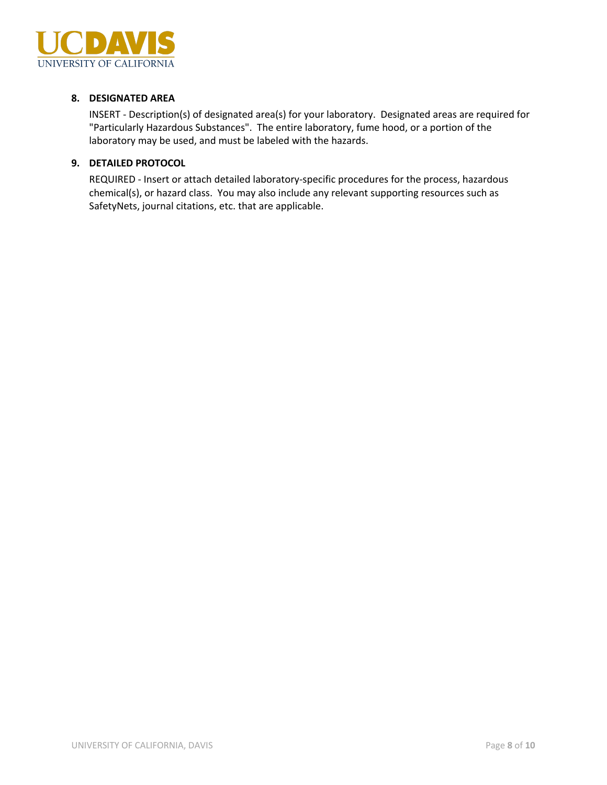

## **8. DESIGNATED AREA**

INSERT - Description(s) of designated area(s) for your laboratory. Designated areas are required for "Particularly Hazardous Substances". The entire laboratory, fume hood, or a portion of the laboratory may be used, and must be labeled with the hazards.

#### **9. DETAILED PROTOCOL**

REQUIRED - Insert or attach detailed laboratory-specific procedures for the process, hazardous chemical(s), or hazard class. You may also include any relevant supporting resources such as SafetyNets, journal citations, etc. that are applicable.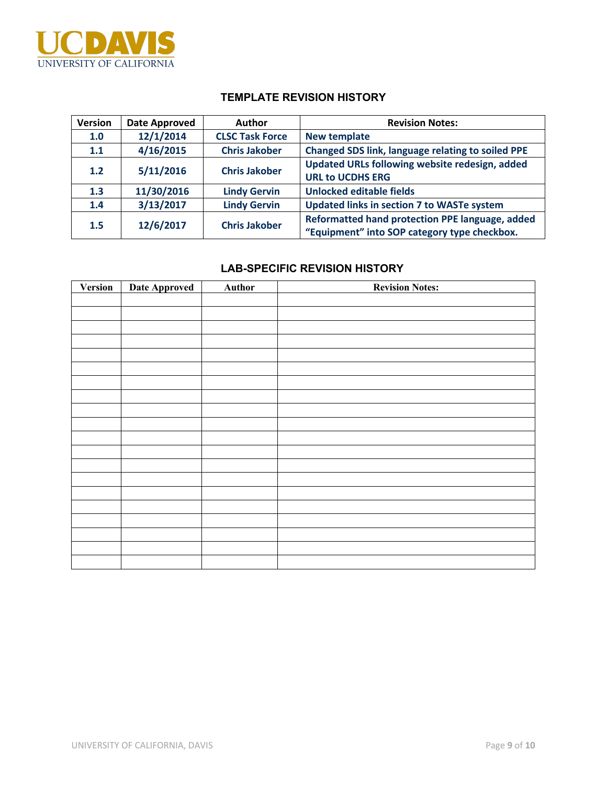

## **TEMPLATE REVISION HISTORY**

| <b>Version</b> | Date Approved | Author                 | <b>Revision Notes:</b>                                                                          |
|----------------|---------------|------------------------|-------------------------------------------------------------------------------------------------|
| 1.0            | 12/1/2014     | <b>CLSC Task Force</b> | <b>New template</b>                                                                             |
| 1.1            | 4/16/2015     | <b>Chris Jakober</b>   | <b>Changed SDS link, language relating to soiled PPE</b>                                        |
| $1.2$          | 5/11/2016     | <b>Chris Jakober</b>   | Updated URLs following website redesign, added<br><b>URL to UCDHS ERG</b>                       |
| 1.3            | 11/30/2016    | <b>Lindy Gervin</b>    | <b>Unlocked editable fields</b>                                                                 |
| 1.4            | 3/13/2017     | <b>Lindy Gervin</b>    | Updated links in section 7 to WASTe system                                                      |
| 1.5            | 12/6/2017     | <b>Chris Jakober</b>   | Reformatted hand protection PPE language, added<br>"Equipment" into SOP category type checkbox. |

## **LAB-SPECIFIC REVISION HISTORY**

| Version | Date Approved | <b>Author</b> | <b>Revision Notes:</b> |
|---------|---------------|---------------|------------------------|
|         |               |               |                        |
|         |               |               |                        |
|         |               |               |                        |
|         |               |               |                        |
|         |               |               |                        |
|         |               |               |                        |
|         |               |               |                        |
|         |               |               |                        |
|         |               |               |                        |
|         |               |               |                        |
|         |               |               |                        |
|         |               |               |                        |
|         |               |               |                        |
|         |               |               |                        |
|         |               |               |                        |
|         |               |               |                        |
|         |               |               |                        |
|         |               |               |                        |
|         |               |               |                        |
|         |               |               |                        |